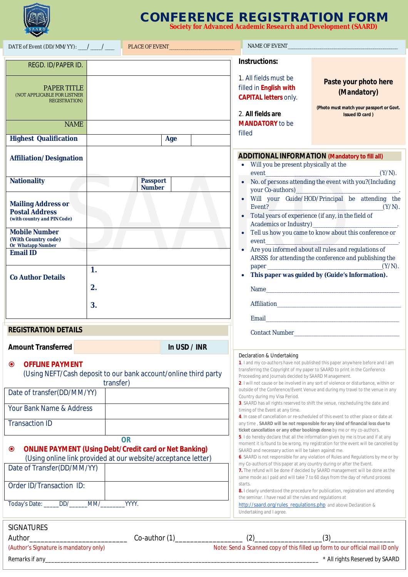

# **CONFERENCE REGISTRATION FORM**

 *Society for Advanced Academic Research and Development (SAARD)*

| DATE of Event (DD/MM/YY): $\_\_\_\_\_\_\_\_\_$                                                                                                                                                                                                                                                                                                                                                                                                                  |                |                                  |              |                                                                                                                                                                                                                                            |                                                                                                                                                                                                                                                                                                                                                                                                                                                                                         |                                                                                                     |  |
|-----------------------------------------------------------------------------------------------------------------------------------------------------------------------------------------------------------------------------------------------------------------------------------------------------------------------------------------------------------------------------------------------------------------------------------------------------------------|----------------|----------------------------------|--------------|--------------------------------------------------------------------------------------------------------------------------------------------------------------------------------------------------------------------------------------------|-----------------------------------------------------------------------------------------------------------------------------------------------------------------------------------------------------------------------------------------------------------------------------------------------------------------------------------------------------------------------------------------------------------------------------------------------------------------------------------------|-----------------------------------------------------------------------------------------------------|--|
| REGD. ID/PAPER ID.                                                                                                                                                                                                                                                                                                                                                                                                                                              |                |                                  |              |                                                                                                                                                                                                                                            | <b>Instructions:</b>                                                                                                                                                                                                                                                                                                                                                                                                                                                                    |                                                                                                     |  |
| <b>PAPER TITLE</b><br>(NOT APPLICABLE FOR LISTNER<br><b>REGISTRATION)</b>                                                                                                                                                                                                                                                                                                                                                                                       |                |                                  |              |                                                                                                                                                                                                                                            | 1. All fields must be<br>filled in English with<br><b>CAPITAL letters only.</b><br>2. All fields are                                                                                                                                                                                                                                                                                                                                                                                    | Paste your photo here<br>(Mandatory)<br>(Photo must match your passport or Govt.<br>Issued ID card) |  |
| <b>NAME</b>                                                                                                                                                                                                                                                                                                                                                                                                                                                     |                |                                  |              |                                                                                                                                                                                                                                            | <b>MANDATORY</b> to be<br>filled                                                                                                                                                                                                                                                                                                                                                                                                                                                        |                                                                                                     |  |
| <b>Highest Qualification</b>                                                                                                                                                                                                                                                                                                                                                                                                                                    |                |                                  | Age          |                                                                                                                                                                                                                                            |                                                                                                                                                                                                                                                                                                                                                                                                                                                                                         |                                                                                                     |  |
| <b>Affiliation/Designation</b>                                                                                                                                                                                                                                                                                                                                                                                                                                  |                |                                  |              |                                                                                                                                                                                                                                            | <b>ADDITIONAL INFORMATION (Mandatory to fill all)</b><br>• Will you be present physically at the                                                                                                                                                                                                                                                                                                                                                                                        |                                                                                                     |  |
| <b>Nationality</b>                                                                                                                                                                                                                                                                                                                                                                                                                                              |                | <b>Passport</b><br><b>Number</b> |              |                                                                                                                                                                                                                                            | • No. of persons attending the event with you?(Including                                                                                                                                                                                                                                                                                                                                                                                                                                |                                                                                                     |  |
| <b>Mailing Address or</b><br><b>Postal Address</b><br>(with country and PIN Code)                                                                                                                                                                                                                                                                                                                                                                               |                |                                  |              |                                                                                                                                                                                                                                            | · Will your Guide/HOD/Principal be attending the<br>Event? $(Y/N)$ .<br>• Total years of experience (if any, in the field of<br>Tell us how you came to know about this conference or<br>Are you informed about all rules and regulations of                                                                                                                                                                                                                                            |                                                                                                     |  |
| <b>Mobile Number</b><br>(With Country code)<br>Or Whatapp Number                                                                                                                                                                                                                                                                                                                                                                                                |                |                                  |              |                                                                                                                                                                                                                                            |                                                                                                                                                                                                                                                                                                                                                                                                                                                                                         |                                                                                                     |  |
| <b>Email ID</b>                                                                                                                                                                                                                                                                                                                                                                                                                                                 |                |                                  |              |                                                                                                                                                                                                                                            |                                                                                                                                                                                                                                                                                                                                                                                                                                                                                         | ARSSS for attending the conference and publishing the                                               |  |
| <b>Co Author Details</b>                                                                                                                                                                                                                                                                                                                                                                                                                                        | $\mathbf{1}$ . |                                  |              |                                                                                                                                                                                                                                            | • This paper was guided by (Guide's Information).                                                                                                                                                                                                                                                                                                                                                                                                                                       |                                                                                                     |  |
|                                                                                                                                                                                                                                                                                                                                                                                                                                                                 | 2.             |                                  |              |                                                                                                                                                                                                                                            |                                                                                                                                                                                                                                                                                                                                                                                                                                                                                         |                                                                                                     |  |
|                                                                                                                                                                                                                                                                                                                                                                                                                                                                 | 3.             |                                  |              |                                                                                                                                                                                                                                            |                                                                                                                                                                                                                                                                                                                                                                                                                                                                                         |                                                                                                     |  |
|                                                                                                                                                                                                                                                                                                                                                                                                                                                                 |                |                                  |              |                                                                                                                                                                                                                                            |                                                                                                                                                                                                                                                                                                                                                                                                                                                                                         |                                                                                                     |  |
| <b>REGISTRATION DETAILS</b>                                                                                                                                                                                                                                                                                                                                                                                                                                     |                |                                  |              |                                                                                                                                                                                                                                            |                                                                                                                                                                                                                                                                                                                                                                                                                                                                                         |                                                                                                     |  |
| <b>Amount Transferred</b>                                                                                                                                                                                                                                                                                                                                                                                                                                       |                |                                  | In USD / INR |                                                                                                                                                                                                                                            |                                                                                                                                                                                                                                                                                                                                                                                                                                                                                         |                                                                                                     |  |
| Declaration & Undertaking<br>1. I and my co-authors have not published this paper anywhere before and I am<br><b>OFFLINE PAYMENT</b><br>$\bullet$<br>transferring the Copyright of my paper to SAARD to print in the Conference<br>(Using NEFT/Cash deposit to our bank account/online third party<br>Proceeding and Journals decided by SAARD Management.<br>transfer)<br>2. I will not cause or be involved in any sort of violence or disturbance, within or |                |                                  |              |                                                                                                                                                                                                                                            |                                                                                                                                                                                                                                                                                                                                                                                                                                                                                         |                                                                                                     |  |
| Date of transfer(DD/MM/YY)                                                                                                                                                                                                                                                                                                                                                                                                                                      |                |                                  |              |                                                                                                                                                                                                                                            | outside of the Conference/Event Venue and during my travel to the venue in any<br>Country during my Visa Period.<br>3. SAARD has all rights reserved to shift the venue, rescheduling the date and<br>timing of the Event at any time.<br>4. In case of cancellation or re-scheduled of this event to other place or date at<br>any time, SAARD will be not responsible for any kind of financial loss due to<br>ticket cancellation or any other bookings done by me or my co-authors. |                                                                                                     |  |
| Your Bank Name & Address                                                                                                                                                                                                                                                                                                                                                                                                                                        |                |                                  |              |                                                                                                                                                                                                                                            |                                                                                                                                                                                                                                                                                                                                                                                                                                                                                         |                                                                                                     |  |
| <b>Transaction ID</b>                                                                                                                                                                                                                                                                                                                                                                                                                                           |                |                                  |              |                                                                                                                                                                                                                                            |                                                                                                                                                                                                                                                                                                                                                                                                                                                                                         |                                                                                                     |  |
| <b>OR</b><br><b>ONLINE PAYMENT (Using Debt/Credit card or Net Banking)</b><br>$\bullet$<br>(Using online link provided at our website/acceptance letter)                                                                                                                                                                                                                                                                                                        |                |                                  |              |                                                                                                                                                                                                                                            | 5. I do hereby declare that all the information given by me is true and if at any<br>moment it is found to be wrong, my registration for the event will be cancelled by<br>SAARD and necessary action will be taken against me.<br>6. SAARD is not responsible for any violation of Rules and Regulations by me or by                                                                                                                                                                   |                                                                                                     |  |
| Date of Transfer(DD/MM/YY)                                                                                                                                                                                                                                                                                                                                                                                                                                      |                |                                  |              |                                                                                                                                                                                                                                            | my Co-authors of this paper at any country during or after the Event.<br>7. The refund will be done if decided by SAARD management will be done as the                                                                                                                                                                                                                                                                                                                                  |                                                                                                     |  |
| Order ID/Transaction ID:                                                                                                                                                                                                                                                                                                                                                                                                                                        |                |                                  |              | same mode as I paid and will take 7 to 60 days from the day of refund process<br>starts.<br>8. I clearly understood the procedure for publication, registration and attending<br>the seminar. I have read all the rules and regulations at |                                                                                                                                                                                                                                                                                                                                                                                                                                                                                         |                                                                                                     |  |
| MM/<br>YYYY.<br>Today's Date: ____<br>DD/<br>http://saard.org/rules_regulations.php and above Declaration &<br>Undertaking and I agree.                                                                                                                                                                                                                                                                                                                         |                |                                  |              |                                                                                                                                                                                                                                            |                                                                                                                                                                                                                                                                                                                                                                                                                                                                                         |                                                                                                     |  |
| <b>SIGNATURES</b><br>(2)<br>Author<br>(3)<br><u> 1980 - Johann Barbara, martx</u>                                                                                                                                                                                                                                                                                                                                                                               |                |                                  |              |                                                                                                                                                                                                                                            |                                                                                                                                                                                                                                                                                                                                                                                                                                                                                         |                                                                                                     |  |
| Note: Send a Scanned copy of this filled up form to our official mail ID only<br>(Author's Signature is mandatory only)                                                                                                                                                                                                                                                                                                                                         |                |                                  |              |                                                                                                                                                                                                                                            |                                                                                                                                                                                                                                                                                                                                                                                                                                                                                         |                                                                                                     |  |
| * All rights Reserved by SAARD<br>Remarks if any_                                                                                                                                                                                                                                                                                                                                                                                                               |                |                                  |              |                                                                                                                                                                                                                                            |                                                                                                                                                                                                                                                                                                                                                                                                                                                                                         |                                                                                                     |  |